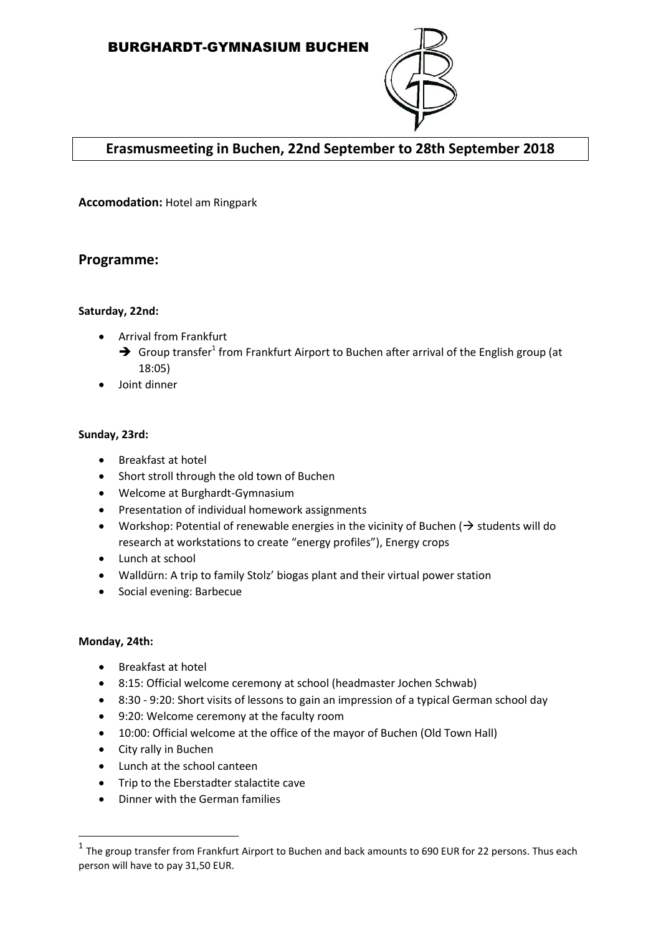

# **Erasmusmeeting in Buchen, 22nd September to 28th September 2018**

**Accomodation:** Hotel am Ringpark

# **Programme:**

# **Saturday, 22nd:**

- Arrival from Frankfurt
	- $\rightarrow$  Group transfer<sup>1</sup> from Frankfurt Airport to Buchen after arrival of the English group (at 18:05)
- Joint dinner

#### **Sunday, 23rd:**

- Breakfast at hotel
- Short stroll through the old town of Buchen
- Welcome at Burghardt-Gymnasium
- Presentation of individual homework assignments
- Workshop: Potential of renewable energies in the vicinity of Buchen ( $\rightarrow$  students will do research at workstations to create "energy profiles"), Energy crops
- Lunch at school
- Walldürn: A trip to family Stolz' biogas plant and their virtual power station
- Social evening: Barbecue

# **Monday, 24th:**

**.** 

- Breakfast at hotel
- 8:15: Official welcome ceremony at school (headmaster Jochen Schwab)
- 8:30 9:20: Short visits of lessons to gain an impression of a typical German school day
- 9:20: Welcome ceremony at the faculty room
- 10:00: Official welcome at the office of the mayor of Buchen (Old Town Hall)
- City rally in Buchen
- Lunch at the school canteen
- Trip to the Eberstadter stalactite cave
- Dinner with the German families

 $^1$  The group transfer from Frankfurt Airport to Buchen and back amounts to 690 EUR for 22 persons. Thus each person will have to pay 31,50 EUR.